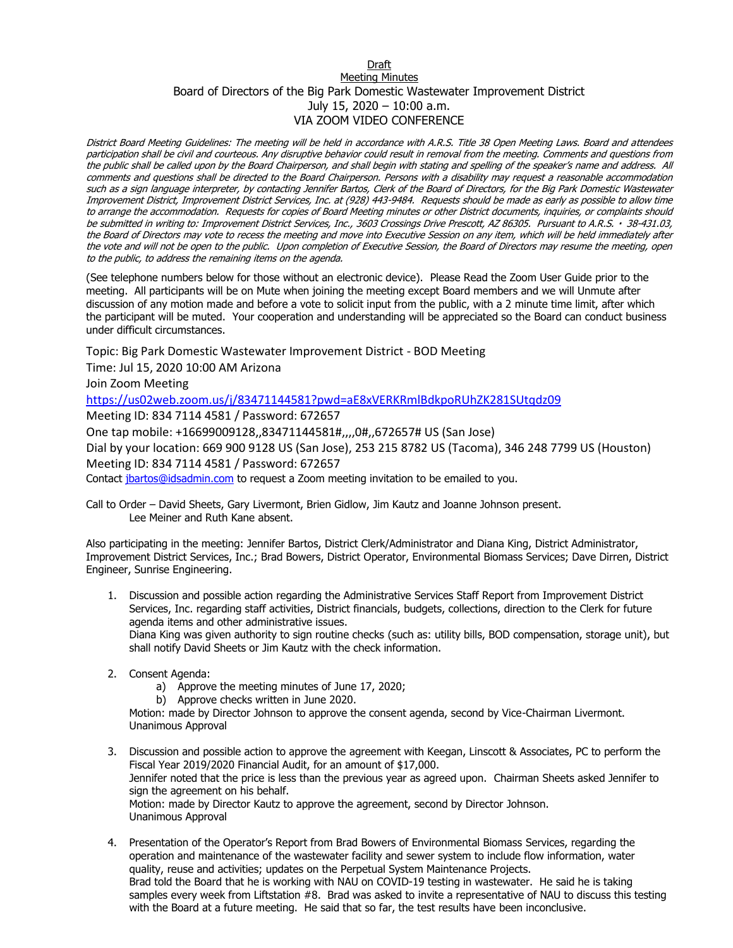## Draft Meeting Minutes Board of Directors of the Big Park Domestic Wastewater Improvement District July 15, 2020 – 10:00 a.m. VIA ZOOM VIDEO CONFERENCE

District Board Meeting Guidelines: The meeting will be held in accordance with A.R.S. Title 38 Open Meeting Laws. Board and attendees participation shall be civil and courteous. Any disruptive behavior could result in removal from the meeting. Comments and questions from the public shall be called upon by the Board Chairperson, and shall begin with stating and spelling of the speaker's name and address. All comments and questions shall be directed to the Board Chairperson. Persons with a disability may request a reasonable accommodation such as a sign language interpreter, by contacting Jennifer Bartos, Clerk of the Board of Directors, for the Big Park Domestic Wastewater Improvement District, Improvement District Services, Inc. at (928) 443-9484. Requests should be made as early as possible to allow time to arrange the accommodation. Requests for copies of Board Meeting minutes or other District documents, inquiries, or complaints should be submitted in writing to: Improvement District Services, Inc., 3603 Crossings Drive Prescott, AZ 86305. Pursuant to A.R.S. · 38-431.03, the Board of Directors may vote to recess the meeting and move into Executive Session on any item, which will be held immediately after the vote and will not be open to the public. Upon completion of Executive Session, the Board of Directors may resume the meeting, open to the public, to address the remaining items on the agenda.

(See telephone numbers below for those without an electronic device). Please Read the Zoom User Guide prior to the meeting. All participants will be on Mute when joining the meeting except Board members and we will Unmute after discussion of any motion made and before a vote to solicit input from the public, with a 2 minute time limit, after which the participant will be muted. Your cooperation and understanding will be appreciated so the Board can conduct business under difficult circumstances.

Topic: Big Park Domestic Wastewater Improvement District - BOD Meeting

Time: Jul 15, 2020 10:00 AM Arizona

Join Zoom Meeting

<https://us02web.zoom.us/j/83471144581?pwd=aE8xVERKRmlBdkpoRUhZK281SUtqdz09>

Meeting ID: 834 7114 4581 / Password: 672657

One tap mobile: +16699009128,,83471144581#,,,,0#,,672657# US (San Jose)

Dial by your location: 669 900 9128 US (San Jose), 253 215 8782 US (Tacoma), 346 248 7799 US (Houston) Meeting ID: 834 7114 4581 / Password: 672657

Contact [jbartos@idsadmin.com](mailto:jbartos@idsadmin.com) to request a Zoom meeting invitation to be emailed to you.

Call to Order – David Sheets, Gary Livermont, Brien Gidlow, Jim Kautz and Joanne Johnson present. Lee Meiner and Ruth Kane absent.

Also participating in the meeting: Jennifer Bartos, District Clerk/Administrator and Diana King, District Administrator, Improvement District Services, Inc.; Brad Bowers, District Operator, Environmental Biomass Services; Dave Dirren, District Engineer, Sunrise Engineering.

- 1. Discussion and possible action regarding the Administrative Services Staff Report from Improvement District Services, Inc. regarding staff activities, District financials, budgets, collections, direction to the Clerk for future agenda items and other administrative issues. Diana King was given authority to sign routine checks (such as: utility bills, BOD compensation, storage unit), but shall notify David Sheets or Jim Kautz with the check information.
- 2. Consent Agenda:
	- a) Approve the meeting minutes of June 17, 2020;
	- b) Approve checks written in June 2020.

Motion: made by Director Johnson to approve the consent agenda, second by Vice-Chairman Livermont. Unanimous Approval

- 3. Discussion and possible action to approve the agreement with Keegan, Linscott & Associates, PC to perform the Fiscal Year 2019/2020 Financial Audit, for an amount of \$17,000. Jennifer noted that the price is less than the previous year as agreed upon. Chairman Sheets asked Jennifer to sign the agreement on his behalf. Motion: made by Director Kautz to approve the agreement, second by Director Johnson. Unanimous Approval
- 4. Presentation of the Operator's Report from Brad Bowers of Environmental Biomass Services, regarding the operation and maintenance of the wastewater facility and sewer system to include flow information, water quality, reuse and activities; updates on the Perpetual System Maintenance Projects. Brad told the Board that he is working with NAU on COVID-19 testing in wastewater. He said he is taking samples every week from Liftstation #8. Brad was asked to invite a representative of NAU to discuss this testing with the Board at a future meeting. He said that so far, the test results have been inconclusive.